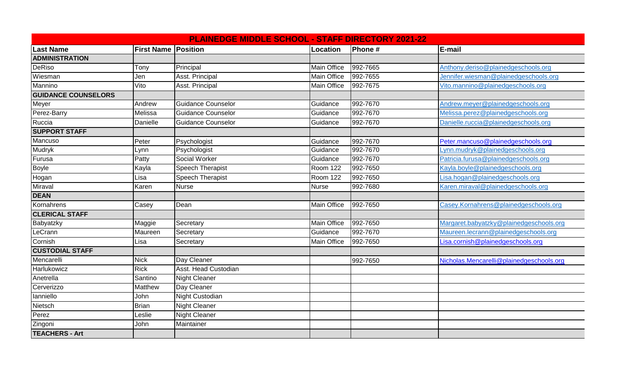|                            |                            | <b>PLAINEDGE MIDDLE SCHOOL - STAFF DIRECTORY 2021-22</b> |                    |          |                                          |
|----------------------------|----------------------------|----------------------------------------------------------|--------------------|----------|------------------------------------------|
| <b>Last Name</b>           | <b>First Name Position</b> |                                                          | Location           | Phone#   | E-mail                                   |
| <b>ADMINISTRATION</b>      |                            |                                                          |                    |          |                                          |
| <b>DeRiso</b>              | Tony                       | Principal                                                | <b>Main Office</b> | 992-7665 | Anthony.deriso@plainedgeschools.org      |
| Wiesman                    | Jen                        | Asst. Principal                                          | <b>Main Office</b> | 992-7655 | Jennifer.wiesman@plainedgeschools.org    |
| Mannino                    | Vito                       | Asst. Principal                                          | <b>Main Office</b> | 992-7675 | Vito.mannino@plainedgeschools.org        |
| <b>GUIDANCE COUNSELORS</b> |                            |                                                          |                    |          |                                          |
| Meyer                      | Andrew                     | <b>Guidance Counselor</b>                                | Guidance           | 992-7670 | Andrew.meyer@plainedgeschools.org        |
| Perez-Barry                | Melissa                    | Guidance Counselor                                       | Guidance           | 992-7670 | Melissa.perez@plainedgeschools.org       |
| Ruccia                     | Danielle                   | Guidance Counselor                                       | Guidance           | 992-7670 | Danielle.ruccia@plainedgeschools.org     |
| <b>SUPPORT STAFF</b>       |                            |                                                          |                    |          |                                          |
| Mancuso                    | Peter                      | Psychologist                                             | Guidance           | 992-7670 | Peter.mancuso@plainedgeschools.org       |
| Mudryk                     | Lynn                       | Psychologist                                             | Guidance           | 992-7670 | Lynn.mudryk@plainedgeschools.org         |
| Furusa                     | Patty                      | Social Worker                                            | Guidance           | 992-7670 | Patricia.furusa@plainedgeschools.org     |
| <b>Boyle</b>               | Kayla                      | Speech Therapist                                         | <b>Room 122</b>    | 992-7650 | Kayla.boyle@plainedgeschools.org         |
| Hogan                      | Lisa                       | <b>Speech Therapist</b>                                  | Room 122           | 992-7650 | Lisa.hogan@plainedgeschools.org          |
| Miraval                    | Karen                      | <b>Nurse</b>                                             | <b>Nurse</b>       | 992-7680 | Karen.miraval@plainedgeschools.org       |
| <b>DEAN</b>                |                            |                                                          |                    |          |                                          |
| Kornahrens                 | Casey                      | Dean                                                     | <b>Main Office</b> | 992-7650 | Casey.Kornahrens@plainedgeschools.org    |
| <b>CLERICAL STAFF</b>      |                            |                                                          |                    |          |                                          |
| Babyatzky                  | Maggie                     | Secretary                                                | <b>Main Office</b> | 992-7650 | Margaret.babyatzky@plainedgeschools.org  |
| LeCrann                    | Maureen                    | Secretary                                                | Guidance           | 992-7670 | Maureen.lecrann@plainedgeschools.org     |
| Cornish                    | Lisa                       | Secretary                                                | <b>Main Office</b> | 992-7650 | Lisa.cornish@plainedgeschools.org        |
| <b>CUSTODIAL STAFF</b>     |                            |                                                          |                    |          |                                          |
| Mencarelli                 | <b>Nick</b>                | Day Cleaner                                              |                    | 992-7650 | Nicholas.Mencarelli@plainedgeschools.org |
| Harlukowicz                | <b>Rick</b>                | Asst. Head Custodian                                     |                    |          |                                          |
| Anetrella                  | Santino                    | <b>Night Cleaner</b>                                     |                    |          |                                          |
| Cerverizzo                 | Matthew                    | Day Cleaner                                              |                    |          |                                          |
| lanniello                  | John                       | <b>Night Custodian</b>                                   |                    |          |                                          |
| Nietsch                    | <b>Brian</b>               | <b>Night Cleaner</b>                                     |                    |          |                                          |
| Perez                      | Leslie                     | <b>Night Cleaner</b>                                     |                    |          |                                          |
| Zingoni                    | John                       | Maintainer                                               |                    |          |                                          |
| TEACHERS - Art             |                            |                                                          |                    |          |                                          |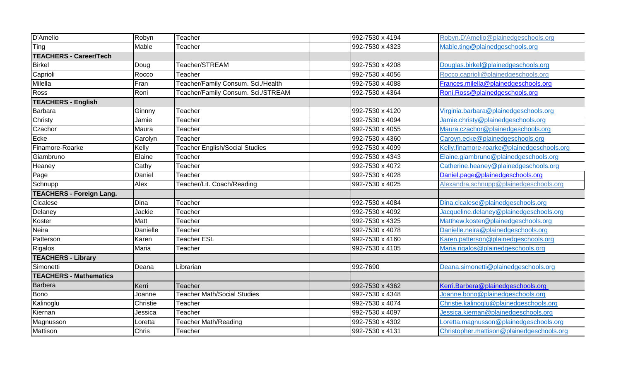| <b>D'Amelio</b>                 | Robyn        | Teacher                               | 992-7530 x 4194 | Robyn.D'Amelio@plainedgeschools.org        |
|---------------------------------|--------------|---------------------------------------|-----------------|--------------------------------------------|
| Ting                            | Mable        | Teacher                               | 992-7530 x 4323 | Mable.ting@plainedgeschools.org            |
| <b>TEACHERS - Career/Tech</b>   |              |                                       |                 |                                            |
| <b>Birkel</b>                   | Doug         | Teacher/STREAM                        | 992-7530 x 4208 | Douglas.birkel@plainedgeschools.org        |
| Caprioli                        | Rocco        | Teacher                               | 992-7530 x 4056 | Rocco.caprioli@plainedgeschools.org        |
| Milella                         | Fran         | Teacher/Family Consum. Sci./Health    | 992-7530 x 4088 | Frances.milella@plainedgeschools.org       |
| Ross                            | Roni         | Teacher/Family Consum. Sci./STREAM    | 992-7530 x 4364 | Roni.Ross@plainedgeschools.org             |
| <b>TEACHERS - English</b>       |              |                                       |                 |                                            |
| <b>Barbara</b>                  | Ginnny       | Teacher                               | 992-7530 x 4120 | Virginia.barbara@plainedgeschools.org      |
| Christy                         | Jamie        | Teacher                               | 992-7530 x 4094 | Jamie.christy@plainedgeschools.org         |
| Czachor                         | Maura        | Teacher                               | 992-7530 x 4055 | Maura.czachor@plainedgeschools.org         |
| Ecke                            | Carolyn      | Teacher                               | 992-7530 x 4360 | Caroyn.ecke@plainedgeschools.org           |
| Finamore-Roarke                 | Kelly        | <b>Teacher English/Social Studies</b> | 992-7530 x 4099 | Kelly.finamore-roarke@plainedgeschools.org |
| Giambruno                       | Elaine       | Teacher                               | 992-7530 x 4343 | Elaine.giambruno@plainedgeschools.org      |
| Heaney                          | Cathy        | Teacher                               | 992-7530 x 4072 | Catherine.heaney@plainedgeschools.org      |
| Page                            | Daniel       | Teacher                               | 992-7530 x 4028 | Daniel.page@plainedgeschools.org           |
| Schnupp                         | Alex         | Teacher/Lit. Coach/Reading            | 992-7530 x 4025 | Alexandra.schnupp@plainedgeschools.org     |
| <b>TEACHERS - Foreign Lang.</b> |              |                                       |                 |                                            |
| Cicalese                        | Dina         | Teacher                               | 992-7530 x 4084 | Dina.cicalese@plainedgeschools.org         |
| Delaney                         | Jackie       | Teacher                               | 992-7530 x 4092 | Jacqueline.delaney@plainedgeschools.org    |
| Koster                          | <b>Matt</b>  | Teacher                               | 992-7530 x 4325 | Matthew.koster@plainedgeschools.org        |
| Neira                           | Danielle     | Teacher                               | 992-7530 x 4078 | Danielle.neira@plainedgeschools.org        |
| Patterson                       | Karen        | <b>Teacher ESL</b>                    | 992-7530 x 4160 | Karen.patterson@plainedgeschools.org       |
| Rigalos                         | Maria        | Teacher                               | 992-7530 x 4105 | Maria.rigalos@plainedgeschools.org         |
| <b>TEACHERS - Library</b>       |              |                                       |                 |                                            |
| Simonetti                       | Deana        | Librarian                             | 992-7690        | Deana.simonetti@plainedgeschools.org       |
| <b>TEACHERS - Mathematics</b>   |              |                                       |                 |                                            |
| <b>Barbera</b>                  | Kerri        | Teacher                               | 992-7530 x 4362 | Kerri.Barbera@plainedgeschools.org         |
| <b>Bono</b>                     | Joanne       | <b>Teacher Math/Social Studies</b>    | 992-7530 x 4348 | Joanne.bono@plainedgeschools.org           |
| Kalinoglu                       | Christie     | Teacher                               | 992-7530 x 4074 | Christie.kalinoglu@plainedgeschools.org    |
| Kiernan                         | Jessica      | Teacher                               | 992-7530 x 4097 | Jessica.kiernan@plainedgeschools.org       |
| Magnusson                       | Loretta      | <b>Teacher Math/Reading</b>           | 992-7530 x 4302 | _oretta.magnusson@plainedgeschools.org     |
| Mattison                        | <b>Chris</b> | Teacher                               | 992-7530 x 4131 | Christopher.mattison@plainedgeschools.org  |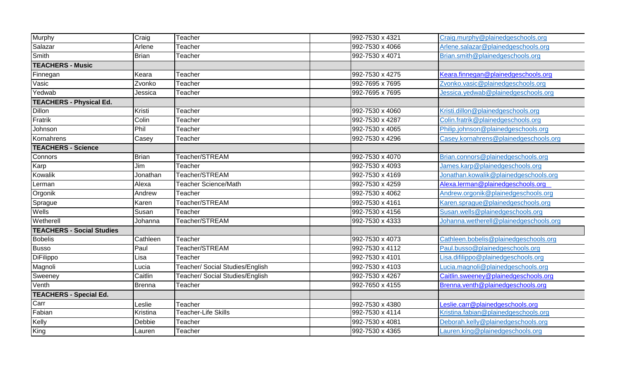| Murphy                           | Craig         | Teacher                         | 992-7530 x 4321 | Craig.murphy@plainedgeschools.org      |
|----------------------------------|---------------|---------------------------------|-----------------|----------------------------------------|
| Salazar                          | Arlene        | Teacher                         | 992-7530 x 4066 | Arlene.salazar@plainedgeschools.org    |
| Smith                            | <b>Brian</b>  | Teacher                         | 992-7530 x 4071 | Brian.smith@plainedgeschools.org       |
| <b>TEACHERS - Music</b>          |               |                                 |                 |                                        |
| Finnegan                         | Keara         | Teacher                         | 992-7530 x 4275 | Keara.finnegan@plainedgeschools.org    |
| Vasic                            | Zvonko        | Teacher                         | 992-7695 x 7695 | Zvonko.vasic@plainedgeschools.org      |
| Yedwab                           | Jessica       | Teacher                         | 992-7695 x 7695 | Jessica.yedwab@plainedgeschools.org    |
| <b>TEACHERS - Physical Ed.</b>   |               |                                 |                 |                                        |
| <b>Dillon</b>                    | Kristi        | Teacher                         | 992-7530 x 4060 | Kristi.dillon@plainedgeschools.org     |
| Fratrik                          | Colin         | Teacher                         | 992-7530 x 4287 | Colin.fratrik@plainedgeschools.org     |
| Johnson                          | Phil          | Teacher                         | 992-7530 x 4065 | Philip.johnson@plainedgeschools.org    |
| Kornahrens                       | Casey         | Teacher                         | 992-7530 x 4296 | Casey.kornahrens@plainedgeschools.org  |
| <b>TEACHERS - Science</b>        |               |                                 |                 |                                        |
| Connors                          | <b>Brian</b>  | Teacher/STREAM                  | 992-7530 x 4070 | Brian.connors@plainedgeschools.org     |
| Karp                             | Jim           | Teacher                         | 992-7530 x 4093 | James.karp@plainedgeschools.org        |
| Kowalik                          | Jonathan      | Teacher/STREAM                  | 992-7530 x 4169 | Jonathan.kowalik@plainedgeschools.org  |
| Lerman                           | Alexa         | Teacher Science/Math            | 992-7530 x 4259 | Alexa.lerman@plainedgeschools.org      |
| Orgonik                          | Andrew        | Teacher                         | 992-7530 x 4062 | Andrew.orgonik@plainedgeschools.org    |
| Sprague                          | Karen         | Teacher/STREAM                  | 992-7530 x 4161 | Karen.sprague@plainedgeschools.org     |
| Wells                            | Susan         | Teacher                         | 992-7530 x 4156 | Susan.wells@plainedgeschools.org       |
| Wetherell                        | Johanna       | Teacher/STREAM                  | 992-7530 x 4333 | Johanna.wetherell@plainedgeschools.org |
| <b>TEACHERS - Social Studies</b> |               |                                 |                 |                                        |
| <b>Bobelis</b>                   | Cathleen      | Teacher                         | 992-7530 x 4073 | Cathleen.bobelis@plainedgeschools.org  |
| <b>Busso</b>                     | Paul          | Teacher/STREAM                  | 992-7530 x 4112 | Paul.busso@plainedgeschools.org        |
| DiFilippo                        | Lisa          | Teacher                         | 992-7530 x 4101 | Lisa.difilippo@plainedgeschools.org    |
| Magnoli                          | Lucia         | Teacher/ Social Studies/English | 992-7530 x 4103 | Lucia.magnoli@plainedgeschools.org     |
| Sweeney                          | Caitlin       | Teacher/ Social Studies/English | 992-7530 x 4267 | Caitlin.sweeney@plainedgeschools.org   |
| Venth                            | <b>Brenna</b> | Teacher                         | 992-7650 x 4155 | Brenna.venth@plainedgeschools.org      |
| <b>TEACHERS - Special Ed.</b>    |               |                                 |                 |                                        |
| Carr                             | Leslie        | Teacher                         | 992-7530 x 4380 | Leslie.carr@plainedgeschools.org       |
| Fabian                           | Kristina      | Teacher-Life Skills             | 992-7530 x 4114 | Kristina.fabian@plainedgeschools.org   |
| Kelly                            | Debbie        | Teacher                         | 992-7530 x 4081 | Deborah.kelly@plainedgeschools.org     |
| King                             | Lauren        | Teacher                         | 992-7530 x 4365 | Lauren.king@plainedgeschools.org       |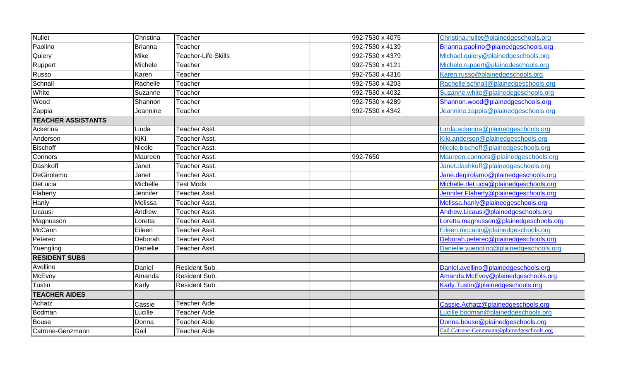| Nullet                    | Christina      | Teacher              | 992-7530 x 4075 | Christina.nullet@plainedgeschools.org      |
|---------------------------|----------------|----------------------|-----------------|--------------------------------------------|
| Paolino                   | <b>Brianna</b> | Teacher              | 992-7530 x 4139 | Brianna.paolino@plainedgeschools.org       |
| Quiery                    | <b>Mike</b>    | Teacher-Life Skills  | 992-7530 x 4379 | Michael.quiery@plainedgeschools.org        |
| Ruppert                   | Michele        | Teacher              | 992-7530 x 4121 | Michele.ruppert@plainedeschools.org        |
| Russo                     | Karen          | Teacher              | 992-7530 x 4316 | Karen.russo@plainedgeschools.org           |
| Schnall                   | Rachelle       | Teacher              | 992-7530 x 4203 | Rachelle.schnall@plainedgeschools.org      |
| White                     | Suzanne        | Teacher              | 992-7530 x 4032 | Suzanne.white@plainedegeschools.org        |
| Wood                      | Shannon        | Teacher              | 992-7530 x 4289 | Shannon.wood@plainedgeschools.org          |
| Zappia                    | Jeannine       | Teacher              | 992-7530 x 4342 | Jeannine.zappia@plainedgeschools.org       |
| <b>TEACHER ASSISTANTS</b> |                |                      |                 |                                            |
| Ackerina                  | Linda          | Teacher Asst.        |                 | inda.ackerina@plainedgeschools.org         |
| Anderson                  | KiKi           | Teacher Asst.        |                 | Kiki.anderson@plainedgeschools.org         |
| <b>Bischoff</b>           | <b>Nicole</b>  | Teacher Asst.        |                 | Nicole.bischoff@plainedgeschools.org       |
| Connors                   | Maureen        | Teacher Asst.        | 992-7650        | Maureen.connors@plainedgeschools.org       |
| Dashkoff                  | Janet          | Teacher Asst.        |                 | Janet.dashkoff@plainedgeschools.org        |
| DeGirolamo                | Janet          | Teacher Asst.        |                 | Jane.degirolamo@plainedgeschools.org       |
| DeLucia                   | Michelle       | <b>Test Mods</b>     |                 | Michelle.deLucia@plainedgeschools.org      |
| Flaherty                  | Jennifer       | Teacher Asst.        |                 | Jennifer.Flaherty@plainedgeschools.org     |
| Hanly                     | Melissa        | Teacher Asst.        |                 | Melissa.hanly@plainedgeschools.org         |
| Licausi                   | Andrew         | <b>Teacher Asst.</b> |                 | Andrew.Licausi@plainedgeschools.org        |
| Magnusson                 | Loretta        | Teacher Asst.        |                 | Loretta.magnusson@plainedgeschools.org     |
| McCann                    | Eileen         | Teacher Asst.        |                 | Eileen.mccann@plainedgeschools.org         |
| Peterec                   | Deborah        | Teacher Asst.        |                 | Deborah.peterec@plainedgeschools.org       |
| Yuengling                 | Danielle       | Teacher Asst.        |                 | Danielle.yuengling@plainedgeschools.org    |
| <b>RESIDENT SUBS</b>      |                |                      |                 |                                            |
| Avellino                  | Daniel         | Resident Sub.        |                 | Daniel.avellino@plainedgeschools.org       |
| McEvoy                    | Amanda         | <b>Resident Sub.</b> |                 | Amanda.McEvoy@plainedgeschools.org         |
| Tustin                    | Karly          | Resident Sub.        |                 | Karly. Tustin@plainedgeschools.org         |
| <b>TEACHER AIDES</b>      |                |                      |                 |                                            |
| Achatz                    | Cassie         | Teacher Aide         |                 | Cassie.Achatz@plainedgeschools.org         |
| Bodman                    | Lucille        | <b>Teacher Aide</b>  |                 | Lucille.bodman@plainedgeschools.org        |
| Bouse                     | Donna          | Teacher Aide         |                 | Donna.bouse@plainedgeschools.org           |
| Catrone-Genzmann          | Gail           | <b>Teacher Aide</b>  |                 | Gail.Catrone-Genzmann@plainedgeschools.org |